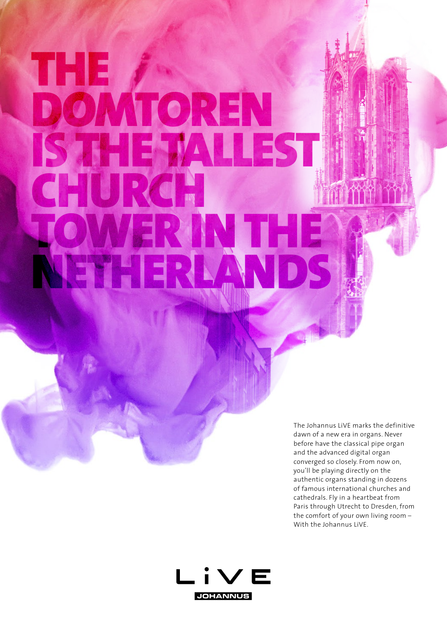## THE DOMTOREN IS THE TALLEST CHURCH WER IN THE NETHERLAN

The Johannus LiVE marks the definitive dawn of a new era in organs. Never before have the classical pipe organ and the advanced digital organ converged so closely. From now on, you'll be playing directly on the authentic organs standing in dozens of famous international churches and cathedrals. Fly in a heartbeat from Paris through Utrecht to Dresden, from the comfort of your own living room – With the Johannus LiVE.